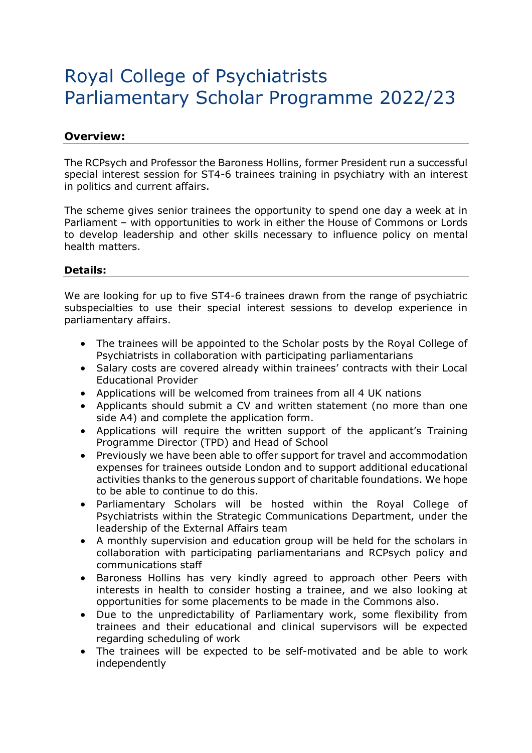## Royal College of Psychiatrists Parliamentary Scholar Programme 2022/23

## **Overview:**

The RCPsych and Professor the Baroness Hollins, former President run a successful special interest session for ST4-6 trainees training in psychiatry with an interest in politics and current affairs.

The scheme gives senior trainees the opportunity to spend one day a week at in Parliament – with opportunities to work in either the House of Commons or Lords to develop leadership and other skills necessary to influence policy on mental health matters.

## **Details:**

We are looking for up to five ST4-6 trainees drawn from the range of psychiatric subspecialties to use their special interest sessions to develop experience in parliamentary affairs.

- The trainees will be appointed to the Scholar posts by the Royal College of Psychiatrists in collaboration with participating parliamentarians
- Salary costs are covered already within trainees' contracts with their Local Educational Provider
- Applications will be welcomed from trainees from all 4 UK nations
- Applicants should submit a CV and written statement (no more than one side A4) and complete the application form.
- Applications will require the written support of the applicant's Training Programme Director (TPD) and Head of School
- Previously we have been able to offer support for travel and accommodation expenses for trainees outside London and to support additional educational activities thanks to the generous support of charitable foundations. We hope to be able to continue to do this.
- Parliamentary Scholars will be hosted within the Royal College of Psychiatrists within the Strategic Communications Department, under the leadership of the External Affairs team
- A monthly supervision and education group will be held for the scholars in collaboration with participating parliamentarians and RCPsych policy and communications staff
- Baroness Hollins has very kindly agreed to approach other Peers with interests in health to consider hosting a trainee, and we also looking at opportunities for some placements to be made in the Commons also.
- Due to the unpredictability of Parliamentary work, some flexibility from trainees and their educational and clinical supervisors will be expected regarding scheduling of work
- The trainees will be expected to be self-motivated and be able to work independently